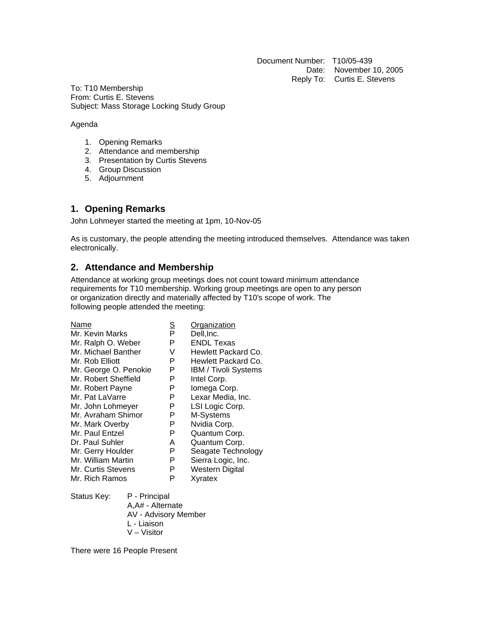Document Number: T10/05-439 Date: November 10, 2005 Reply To: Curtis E. Stevens

To: T10 Membership From: Curtis E. Stevens Subject: Mass Storage Locking Study Group

#### Agenda

- 1. Opening Remarks
- 2. Attendance and membership
- 3. Presentation by Curtis Stevens
- 4. Group Discussion
- 5. Adjournment

# **1. Opening Remarks**

John Lohmeyer started the meeting at 1pm, 10-Nov-05

As is customary, the people attending the meeting introduced themselves. Attendance was taken electronically.

# **2. Attendance and Membership**

Attendance at working group meetings does not count toward minimum attendance requirements for T10 membership. Working group meetings are open to any person or organization directly and materially affected by T10's scope of work. The following people attended the meeting:

| Name                  | <u>s</u> | Organization                |
|-----------------------|----------|-----------------------------|
| Mr. Kevin Marks       | P        | Dell, Inc.                  |
| Mr. Ralph O. Weber    | Р        | <b>ENDL Texas</b>           |
| Mr. Michael Banther   | V        | Hewlett Packard Co.         |
| Mr. Rob Elliott       | Р        | Hewlett Packard Co.         |
| Mr. George O. Penokie | Р        | <b>IBM / Tivoli Systems</b> |
| Mr. Robert Sheffield  | P        | Intel Corp.                 |
| Mr. Robert Payne      | P        | Iomega Corp.                |
| Mr. Pat LaVarre       | P        | Lexar Media, Inc.           |
| Mr. John Lohmeyer     | P        | LSI Logic Corp.             |
| Mr. Avraham Shimor    | Р        | M-Systems                   |
| Mr. Mark Overby       | P        | Nvidia Corp.                |
| Mr. Paul Entzel       | Р        | Quantum Corp.               |
| Dr. Paul Suhler       | А        | Quantum Corp.               |
| Mr. Gerry Houlder     | P        | Seagate Technology          |
| Mr. William Martin    | P        | Sierra Logic, Inc.          |
| Mr. Curtis Stevens    | Р        | Western Digital             |
| Mr. Rich Ramos        | Р        | Xyratex                     |

Status Key: P - Principal A,A# - Alternate AV - Advisory Member L - Liaison V – Visitor

There were 16 People Present